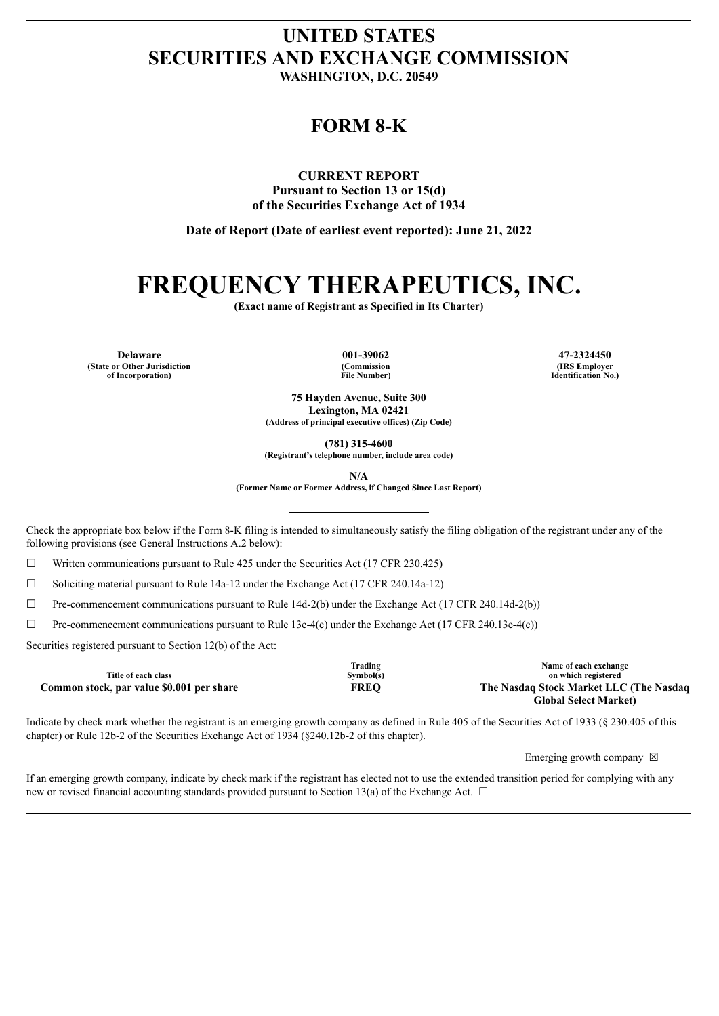## **UNITED STATES SECURITIES AND EXCHANGE COMMISSION**

**WASHINGTON, D.C. 20549**

### **FORM 8-K**

### **CURRENT REPORT**

**Pursuant to Section 13 or 15(d) of the Securities Exchange Act of 1934**

**Date of Report (Date of earliest event reported): June 21, 2022**

# **FREQUENCY THERAPEUTICS, INC.**

**(Exact name of Registrant as Specified in Its Charter)**

**Delaware 001-39062 47-2324450 (State or Other Jurisdiction of Incorporation)**

**(Commission File Number)**

**(IRS Employer Identification No.)**

**75 Hayden Avenue, Suite 300 Lexington, MA 02421 (Address of principal executive offices) (Zip Code)**

**(781) 315-4600**

**(Registrant's telephone number, include area code)**

**N/A**

**(Former Name or Former Address, if Changed Since Last Report)**

Check the appropriate box below if the Form 8-K filing is intended to simultaneously satisfy the filing obligation of the registrant under any of the following provisions (see General Instructions A.2 below):

☐ Written communications pursuant to Rule 425 under the Securities Act (17 CFR 230.425)

☐ Soliciting material pursuant to Rule 14a-12 under the Exchange Act (17 CFR 240.14a-12)

☐ Pre-commencement communications pursuant to Rule 14d-2(b) under the Exchange Act (17 CFR 240.14d-2(b))

☐ Pre-commencement communications pursuant to Rule 13e-4(c) under the Exchange Act (17 CFR 240.13e-4(c))

Securities registered pursuant to Section 12(b) of the Act:

|                                           | Trading     | Name of each exchange                   |
|-------------------------------------------|-------------|-----------------------------------------|
| Title of each class                       | Svmbol(s)   | on which registered                     |
| Common stock, par value \$0.001 per share | <b>FREO</b> | The Nasdaq Stock Market LLC (The Nasdaq |
|                                           |             | <b>Global Select Market</b> )           |

Indicate by check mark whether the registrant is an emerging growth company as defined in Rule 405 of the Securities Act of 1933 (§ 230.405 of this chapter) or Rule 12b-2 of the Securities Exchange Act of 1934 (§240.12b-2 of this chapter).

Emerging growth company  $\boxtimes$ 

If an emerging growth company, indicate by check mark if the registrant has elected not to use the extended transition period for complying with any new or revised financial accounting standards provided pursuant to Section 13(a) of the Exchange Act.  $\Box$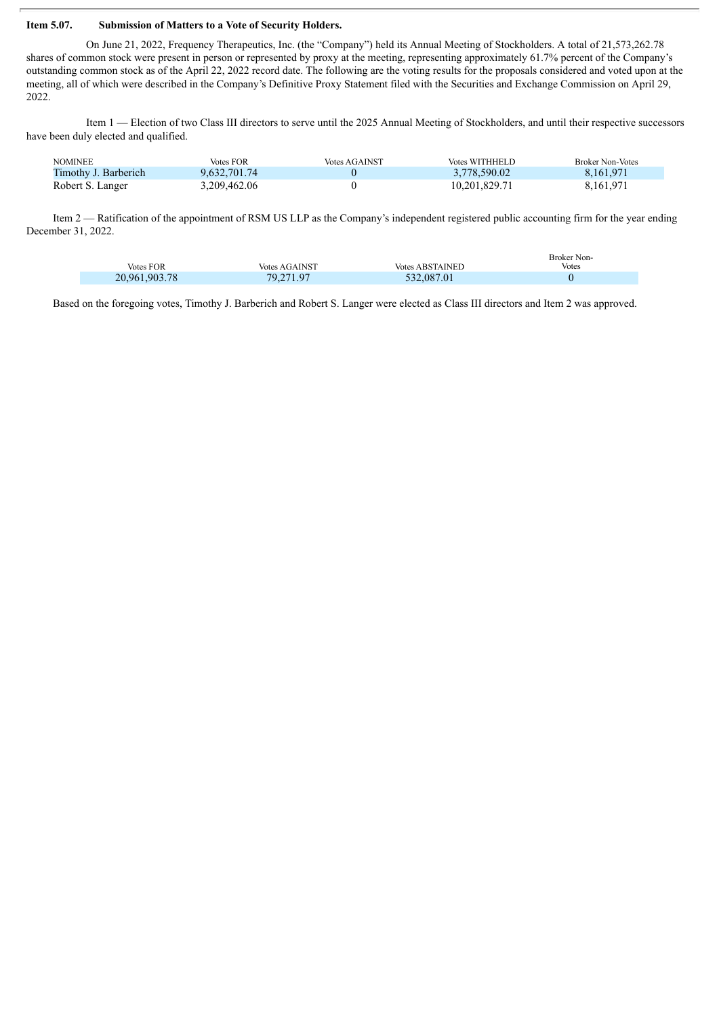#### **Item 5.07. Submission of Matters to a Vote of Security Holders.**

On June 21, 2022, Frequency Therapeutics, Inc. (the "Company") held its Annual Meeting of Stockholders. A total of 21,573,262.78 shares of common stock were present in person or represented by proxy at the meeting, representing approximately 61.7% percent of the Company's outstanding common stock as of the April 22, 2022 record date. The following are the voting results for the proposals considered and voted upon at the meeting, all of which were described in the Company's Definitive Proxy Statement filed with the Securities and Exchange Commission on April 29, 2022.

Item 1 — Election of two Class III directors to serve until the 2025 Annual Meeting of Stockholders, and until their respective successors have been duly elected and qualified.

| <b>NOMINEE</b>       | Votes FOR    | <b>Votes AGAINST</b> | Votes WITHHELD | Broker Non-Votes |
|----------------------|--------------|----------------------|----------------|------------------|
| Timothy J. Barberich | 9.632.701.74 |                      | 3,778,590.02   | 8.161.971        |
| Robert S. Langer     | 3.209.462.06 |                      | 10,201,829.71  | 8,161,971        |

Item 2 — Ratification of the appointment of RSM US LLP as the Company's independent registered public accounting firm for the year ending December 31, 2022.

| <b>Votes FOR</b> | <b>Votes AGAINST</b> | <b>Votes ABSTAINED</b> | Broker Non-<br><b>Votes</b> |
|------------------|----------------------|------------------------|-----------------------------|
| 20,961,903.78    | 79.271.97            | 532,087.01             |                             |

Based on the foregoing votes, Timothy J. Barberich and Robert S. Langer were elected as Class III directors and Item 2 was approved.